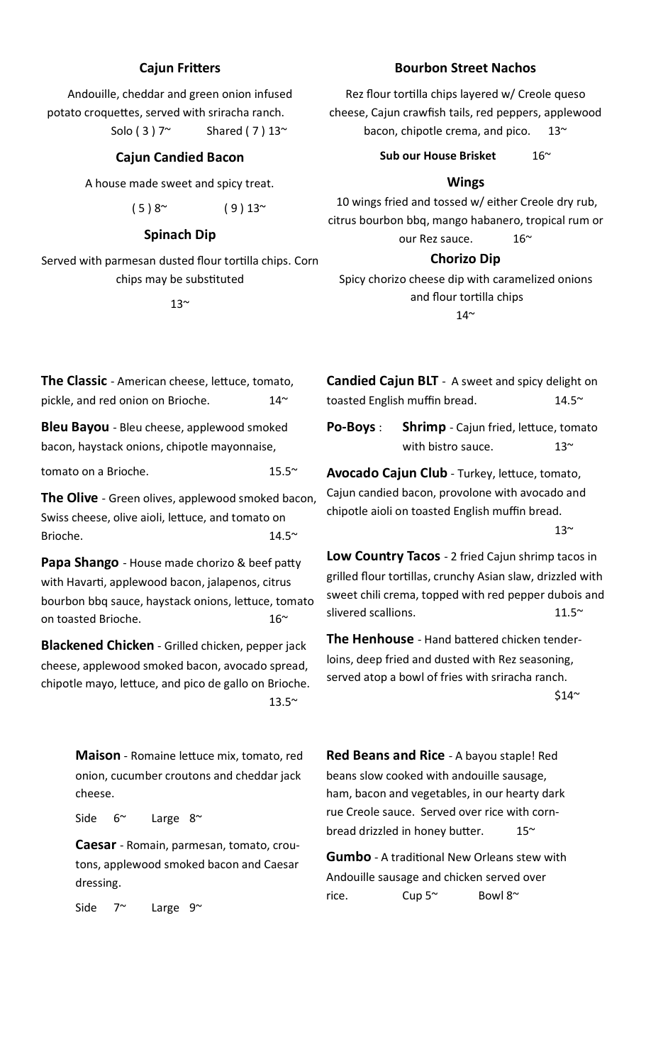# **Cajun Fritters**

Andouille, cheddar and green onion infused potato croquettes, served with sriracha ranch.

Solo ( 3 )  $7^\sim$  Shared ( 7 )  $13^\sim$ 

# **Cajun Candied Bacon**

A house made sweet and spicy treat.

$$
(5) 8^{\sim} \qquad (9) 13^{\sim}
$$

### **Spinach Dip**

Served with parmesan dusted flour tortilla chips. Corn chips may be substituted

 $13<sup>^{\sim}</sup>$ 

# **Bourbon Street Nachos**

Rez flour tortilla chips layered w/ Creole queso cheese, Cajun crawfish tails, red peppers, applewood bacon, chipotle crema, and pico.  $13<sup>\sim</sup>$ 

Sub our House Brisket 16~

# **Wings**

10 wings fried and tossed w/ either Creole dry rub, citrus bourbon bbq, mango habanero, tropical rum or our Rez sauce. 16~

## **Chorizo Dip**

Spicy chorizo cheese dip with caramelized onions and flour tortilla chips  $14^{\sim}$ 

**The Classic** - American cheese, lettuce, tomato, pickle, and red onion on Brioche.  $14^{\sim}$ 

**Bleu Bayou** - Bleu cheese, applewood smoked bacon, haystack onions, chipotle mayonnaise,

tomato on a Brioche. 15.5~

**The Olive** - Green olives, applewood smoked bacon, Swiss cheese, olive aioli, lettuce, and tomato on Brioche. 14.5~

**Papa Shango** - House made chorizo & beef patty with Havarti, applewood bacon, jalapenos, citrus bourbon bbq sauce, haystack onions, lettuce, tomato on toasted Brioche. 16~

**Blackened Chicken** - Grilled chicken, pepper jack cheese, applewood smoked bacon, avocado spread, chipotle mayo, lettuce, and pico de gallo on Brioche.  $13.5^{\sim}$ 

> **Maison** - Romaine lettuce mix, tomato, red onion, cucumber croutons and cheddar jack cheese.

Side 6<sup>~</sup> Large 8<sup>~</sup>

**Caesar** - Romain, parmesan, tomato, croutons, applewood smoked bacon and Caesar dressing.

Side  $7^{\sim}$  Large  $9^{\sim}$ 

**Candied Cajun BLT** - A sweet and spicy delight on toasted English muffin bread.  $14.5<sup>o</sup>$ 

**Po-Boys** : **Shrimp** - Cajun fried, lettuce, tomato with bistro sauce.  $13<sup>2</sup>$ 

**Avocado Cajun Club** - Turkey, lettuce, tomato, Cajun candied bacon, provolone with avocado and chipotle aioli on toasted English muffin bread.

 $13<sup>°</sup>$ 

**Low Country Tacos** - 2 fried Cajun shrimp tacos in grilled flour tortillas, crunchy Asian slaw, drizzled with sweet chili crema, topped with red pepper dubois and slivered scallions. 11.5~

**The Henhouse** - Hand battered chicken tenderloins, deep fried and dusted with Rez seasoning, served atop a bowl of fries with sriracha ranch.  $$14"$ 

**Red Beans and Rice** - A bayou staple! Red beans slow cooked with andouille sausage, ham, bacon and vegetables, in our hearty dark rue Creole sauce. Served over rice with cornbread drizzled in honey butter.  $15<sup>th</sup>$ 

**Gumbo** - A traditional New Orleans stew with Andouille sausage and chicken served over rice. Cup 5~ Bowl 8~